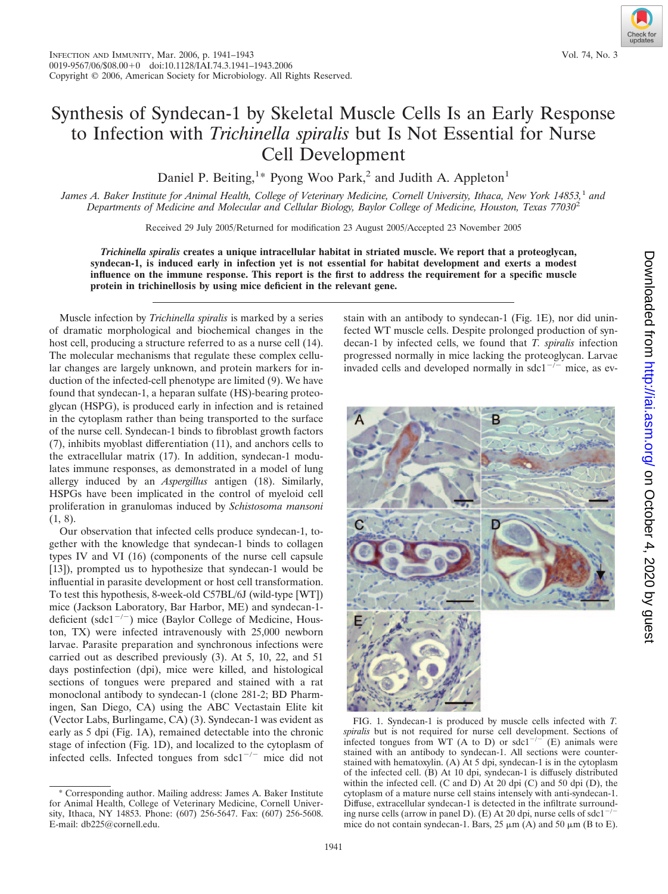## Synthesis of Syndecan-1 by Skeletal Muscle Cells Is an Early Response to Infection with *Trichinella spiralis* but Is Not Essential for Nurse Cell Development

Daniel P. Beiting,<sup>1\*</sup> Pyong Woo Park,<sup>2</sup> and Judith A. Appleton<sup>1</sup>

*James A. Baker Institute for Animal Health, College of Veterinary Medicine, Cornell University, Ithaca, New York 14853,*<sup>1</sup> *and Departments of Medicine and Molecular and Cellular Biology, Baylor College of Medicine, Houston, Texas 77030*<sup>2</sup>

Received 29 July 2005/Returned for modification 23 August 2005/Accepted 23 November 2005

*Trichinella spiralis* **creates a unique intracellular habitat in striated muscle. We report that a proteoglycan, syndecan-1, is induced early in infection yet is not essential for habitat development and exerts a modest influence on the immune response. This report is the first to address the requirement for a specific muscle protein in trichinellosis by using mice deficient in the relevant gene.**

Muscle infection by *Trichinella spiralis* is marked by a series of dramatic morphological and biochemical changes in the host cell, producing a structure referred to as a nurse cell (14). The molecular mechanisms that regulate these complex cellular changes are largely unknown, and protein markers for induction of the infected-cell phenotype are limited (9). We have found that syndecan-1, a heparan sulfate (HS)-bearing proteoglycan (HSPG), is produced early in infection and is retained in the cytoplasm rather than being transported to the surface of the nurse cell. Syndecan-1 binds to fibroblast growth factors (7), inhibits myoblast differentiation (11), and anchors cells to the extracellular matrix (17). In addition, syndecan-1 modulates immune responses, as demonstrated in a model of lung allergy induced by an *Aspergillus* antigen (18). Similarly, HSPGs have been implicated in the control of myeloid cell proliferation in granulomas induced by *Schistosoma mansoni* (1, 8).

Our observation that infected cells produce syndecan-1, together with the knowledge that syndecan-1 binds to collagen types IV and VI (16) (components of the nurse cell capsule [13]), prompted us to hypothesize that syndecan-1 would be influential in parasite development or host cell transformation. To test this hypothesis, 8-week-old C57BL/6J (wild-type [WT]) mice (Jackson Laboratory, Bar Harbor, ME) and syndecan-1 deficient (sdc1<sup>-/-</sup>) mice (Baylor College of Medicine, Houston, TX) were infected intravenously with 25,000 newborn larvae. Parasite preparation and synchronous infections were carried out as described previously (3). At 5, 10, 22, and 51 days postinfection (dpi), mice were killed, and histological sections of tongues were prepared and stained with a rat monoclonal antibody to syndecan-1 (clone 281-2; BD Pharmingen, San Diego, CA) using the ABC Vectastain Elite kit (Vector Labs, Burlingame, CA) (3). Syndecan-1 was evident as early as 5 dpi (Fig. 1A), remained detectable into the chronic stage of infection (Fig. 1D), and localized to the cytoplasm of infected cells. Infected tongues from  $sdc1^{-/-}$  mice did not

stain with an antibody to syndecan-1 (Fig. 1E), nor did uninfected WT muscle cells. Despite prolonged production of syndecan-1 by infected cells, we found that *T. spiralis* infection progressed normally in mice lacking the proteoglycan. Larvae invaded cells and developed normally in  $sdc1^{-/-}$  mice, as ev-



FIG. 1. Syndecan-1 is produced by muscle cells infected with *T. spiralis* but is not required for nurse cell development. Sections of infected tongues from WT (A to D) or  $sdc1^{-/-}$  (E) animals were stained with an antibody to syndecan-1. All sections were counterstained with hematoxylin. (A) At 5 dpi, syndecan-1 is in the cytoplasm of the infected cell. (B) At 10 dpi, syndecan-1 is diffusely distributed within the infected cell. (C and D) At 20 dpi (C) and 50 dpi (D), the cytoplasm of a mature nurse cell stains intensely with anti-syndecan-1. Diffuse, extracellular syndecan-1 is detected in the infiltrate surrounding nurse cells (arrow in panel D). (E) At 20 dpi, nurse cells of  $sdc1^{-/-}$ mice do not contain syndecan-1. Bars,  $25 \mu m$  (A) and  $50 \mu m$  (B to E).

<sup>\*</sup> Corresponding author. Mailing address: James A. Baker Institute for Animal Health, College of Veterinary Medicine, Cornell University, Ithaca, NY 14853. Phone: (607) 256-5647. Fax: (607) 256-5608. E-mail: db225@cornell.edu.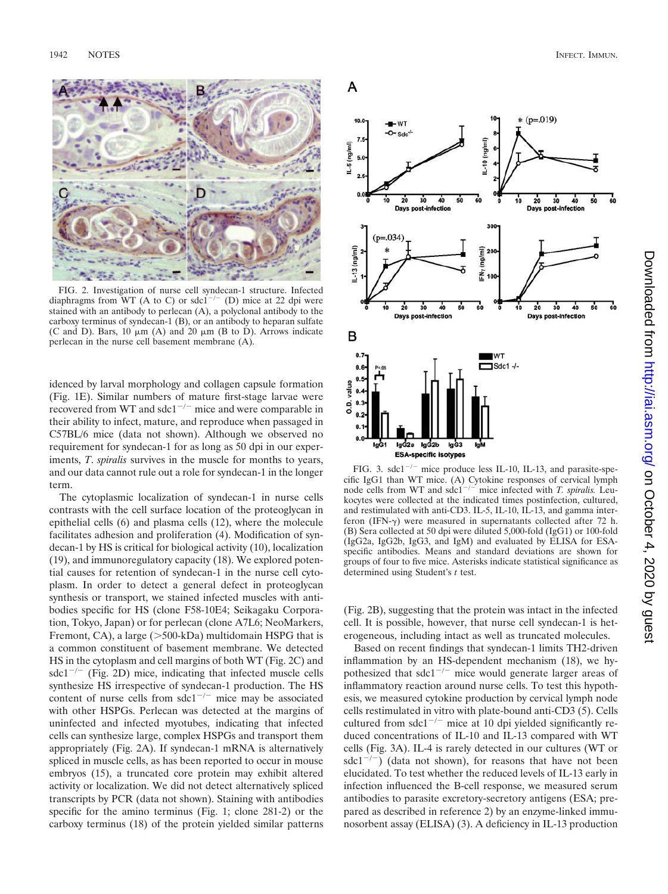

FIG. 2. Investigation of nurse cell syndecan-1 structure. Infected diaphragms from WT (A to C) or sdc1<sup>-/-</sup> (D) mice at 22 dpi were stained with an antibody to perlecan (A), a polyclonal antibody to the carboxy terminus of syndecan-1 (B), or an antibody to heparan sulfate (C and D). Bars,  $10 \mu m$  (A) and  $20 \mu m$  (B to D). Arrows indicate perlecan in the nurse cell basement membrane (A).

idenced by larval morphology and collagen capsule formation (Fig. 1E). Similar numbers of mature first-stage larvae were recovered from WT and  $sdc1^{-/-}$  mice and were comparable in their ability to infect, mature, and reproduce when passaged in C57BL/6 mice (data not shown). Although we observed no requirement for syndecan-1 for as long as 50 dpi in our experiments, *T*. *spiralis* survives in the muscle for months to years, and our data cannot rule out a role for syndecan-1 in the longer term.

The cytoplasmic localization of syndecan-1 in nurse cells contrasts with the cell surface location of the proteoglycan in epithelial cells (6) and plasma cells (12), where the molecule facilitates adhesion and proliferation (4). Modification of syndecan-1 by HS is critical for biological activity (10), localization (19), and immunoregulatory capacity (18). We explored potential causes for retention of syndecan-1 in the nurse cell cytoplasm. In order to detect a general defect in proteoglycan synthesis or transport, we stained infected muscles with antibodies specific for HS (clone F58-10E4; Seikagaku Corporation, Tokyo, Japan) or for perlecan (clone A7L6; NeoMarkers, Fremont, CA), a large ( $>500$ -kDa) multidomain HSPG that is a common constituent of basement membrane. We detected HS in the cytoplasm and cell margins of both WT (Fig. 2C) and  $sdc1^{-/-}$  (Fig. 2D) mice, indicating that infected muscle cells synthesize HS irrespective of syndecan-1 production. The HS content of nurse cells from  $sdc1^{-/-}$  mice may be associated with other HSPGs. Perlecan was detected at the margins of uninfected and infected myotubes, indicating that infected cells can synthesize large, complex HSPGs and transport them appropriately (Fig. 2A). If syndecan-1 mRNA is alternatively spliced in muscle cells, as has been reported to occur in mouse embryos (15), a truncated core protein may exhibit altered activity or localization. We did not detect alternatively spliced transcripts by PCR (data not shown). Staining with antibodies specific for the amino terminus (Fig. 1; clone 281-2) or the carboxy terminus (18) of the protein yielded similar patterns



FIG. 3.  $sdc1^{-/-}$  mice produce less IL-10, IL-13, and parasite-specific IgG1 than WT mice. (A) Cytokine responses of cervical lymph node cells from WT and sdc1<sup>-/-</sup> mice infected with *T. spiralis.* Leukocytes were collected at the indicated times postinfection, cultured, and restimulated with anti-CD3. IL-5, IL-10, IL-13, and gamma interferon (IFN- $\gamma$ ) were measured in supernatants collected after 72 h. (B) Sera collected at 50 dpi were diluted 5,000-fold (IgG1) or 100-fold (IgG2a, IgG2b, IgG3, and IgM) and evaluated by ELISA for ESAspecific antibodies. Means and standard deviations are shown for groups of four to five mice. Asterisks indicate statistical significance as determined using Student's *t* test.

(Fig. 2B), suggesting that the protein was intact in the infected cell. It is possible, however, that nurse cell syndecan-1 is heterogeneous, including intact as well as truncated molecules.

Based on recent findings that syndecan-1 limits TH2-driven inflammation by an HS-dependent mechanism (18), we hypothesized that  $sdc1^{-/-}$  mice would generate larger areas of inflammatory reaction around nurse cells. To test this hypothesis, we measured cytokine production by cervical lymph node cells restimulated in vitro with plate-bound anti-CD3 (5). Cells cultured from  $sdc1^{-/-}$  mice at 10 dpi yielded significantly reduced concentrations of IL-10 and IL-13 compared with WT cells (Fig. 3A). IL-4 is rarely detected in our cultures (WT or sdc1<sup>-/-</sup>) (data not shown), for reasons that have not been elucidated. To test whether the reduced levels of IL-13 early in infection influenced the B-cell response, we measured serum antibodies to parasite excretory-secretory antigens (ESA; prepared as described in reference 2) by an enzyme-linked immunosorbent assay (ELISA) (3). A deficiency in IL-13 production